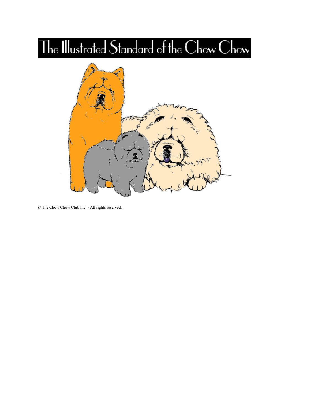# The Illustrated Standard of the Chow Chow



© The Chow Chow Club Inc. - All rights reserved.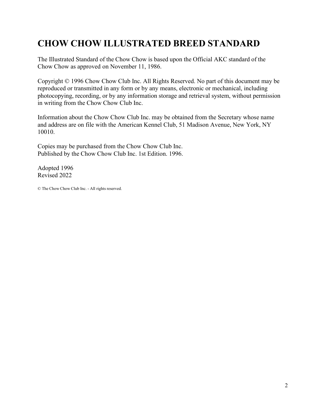# <span id="page-1-0"></span>**CHOW CHOW ILLUSTRATED BREED STANDARD**

The Illustrated Standard of the Chow Chow is based upon the Official AKC standard of the Chow Chow as approved on November 11, 1986.

Copyright © 1996 Chow Chow Club Inc. All Rights Reserved. No part of this document may be reproduced or transmitted in any form or by any means, electronic or mechanical, including photocopying, recording, or by any information storage and retrieval system, without permission in writing from the Chow Chow Club Inc.

Information about the Chow Chow Club Inc. may be obtained from the Secretary whose name and address are on file with the American Kennel Club, 51 Madison Avenue, New York, NY 10010.

Copies may be purchased from the Chow Chow Club Inc. Published by the Chow Chow Club Inc. 1st Edition. 1996.

Adopted 1996 Revised 2022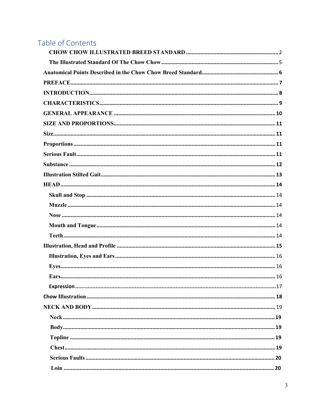### Table of Contents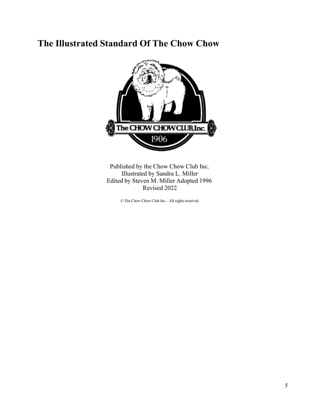### <span id="page-4-0"></span>**The Illustrated Standard Of The Chow Chow**



Published by the Chow Chow Club Inc. Illustrated by Sandra L. Miller Edited by Steven M. Miller Adopted 1996 Revised 2022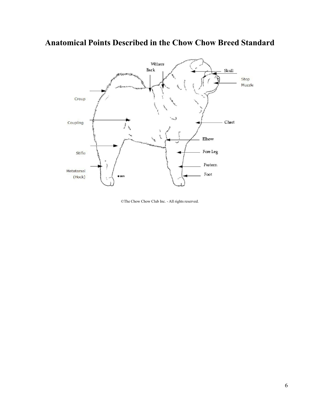### <span id="page-5-0"></span>**Anatomical Points Described in the Chow Chow Breed Standard**



©The Chow Chow Club Inc. - All rights reserved.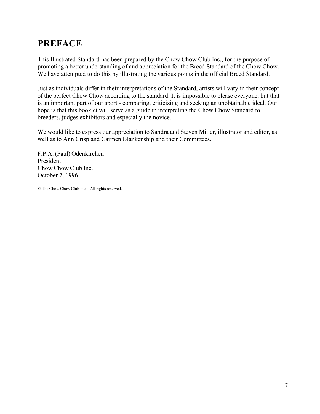# <span id="page-6-0"></span>**PREFACE**

This Illustrated Standard has been prepared by the Chow Chow Club Inc., for the purpose of promoting a better understanding of and appreciation for the Breed Standard of the Chow Chow. We have attempted to do this by illustrating the various points in the official Breed Standard.

Just as individuals differ in their interpretations of the Standard, artists will vary in their concept of the perfect Chow Chow according to the standard. It is impossible to please everyone, but that is an important part of our sport - comparing, criticizing and seeking an unobtainable ideal. Our hope is that this booklet will serve as a guide in interpreting the Chow Chow Standard to breeders, judges,exhibitors and especially the novice.

We would like to express our appreciation to Sandra and Steven Miller, illustrator and editor, as well as to Ann Crisp and Carmen Blankenship and their Committees.

F.P.A. (Paul) Odenkirchen President Chow Chow Club Inc. October 7, 1996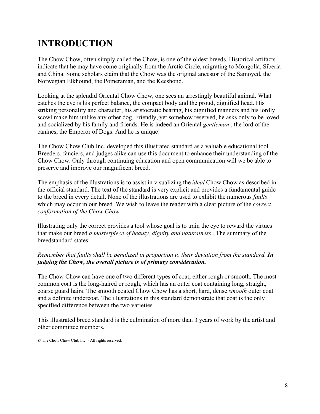# <span id="page-7-0"></span>**INTRODUCTION**

The Chow Chow, often simply called the Chow, is one of the oldest breeds. Historical artifacts indicate that he may have come originally from the Arctic Circle, migrating to Mongolia, Siberia and China. Some scholars claim that the Chow was the original ancestor of the Samoyed, the Norwegian Elkhound, the Pomeranian, and the Keeshond.

Looking at the splendid Oriental Chow Chow, one sees an arrestingly beautiful animal. What catches the eye is his perfect balance, the compact body and the proud, dignified head. His striking personality and character, his aristocratic bearing, his dignified manners and his lordly scowl make him unlike any other dog. Friendly, yet somehow reserved, he asks only to be loved and socialized by his family and friends. He is indeed an Oriental *gentleman* , the lord of the canines, the Emperor of Dogs. And he is unique!

The Chow Chow Club Inc. developed this illustrated standard as a valuable educational tool. Breeders, fanciers, and judges alike can use this document to enhance their understanding of the Chow Chow. Only through continuing education and open communication will we be able to preserve and improve our magnificent breed.

The emphasis of the illustrations is to assist in visualizing the *ideal* Chow Chow as described in the official standard. The text of the standard is very explicit and provides a fundamental guide to the breed in every detail. None of the illustrations are used to exhibit the numerous *faults* which may occur in our breed. We wish to leave the reader with a clear picture of the *correct conformation of the Chow Chow* .

Illustrating only the correct provides a tool whose goal is to train the eye to reward the virtues that make our breed *a masterpiece of beauty, dignity and naturalness* . The summary of the breedstandard states:

#### *Remember that faults shall be penalized in proportion to their deviation from the standard. In judging the Chow, the overall picture is of primary consideration.*

The Chow Chow can have one of two different types of coat; either rough or smooth. The most common coat is the long-haired or rough, which has an outer coat containing long, straight, coarse guard hairs. The smooth coated Chow Chow has a short, hard, dense *smooth* outer coat and a definite undercoat. The illustrations in this standard demonstrate that coat is the only specified difference between the two varieties.

This illustrated breed standard is the culmination of more than 3 years of work by the artist and other committee members.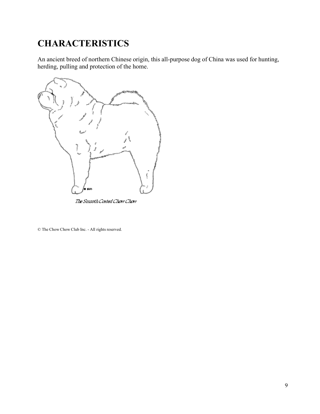# <span id="page-8-0"></span>**CHARACTERISTICS**

An ancient breed of northern Chinese origin, this all-purpose dog of China was used for hunting, herding, pulling and protection of the home.



The Smooth Costed Chow Chow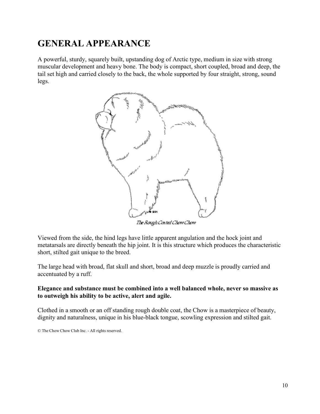## <span id="page-9-0"></span>**GENERAL APPEARANCE**

A powerful, sturdy, squarely built, upstanding dog of Arctic type, medium in size with strong muscular development and heavy bone. The body is compact, short coupled, broad and deep, the tail set high and carried closely to the back, the whole supported by four straight, strong, sound legs.



Viewed from the side, the hind legs have little apparent angulation and the hock joint and metatarsals are directly beneath the hip joint. It is this structure which produces the characteristic short, stilted gait unique to the breed.

The large head with broad, flat skull and short, broad and deep muzzle is proudly carried and accentuated by a ruff.

#### **Elegance and substance must be combined into a well balanced whole, never so massive as to outweigh his ability to be active, alert and agile.**

Clothed in a smooth or an off standing rough double coat, the Chow is a masterpiece of beauty, dignity and naturalness, unique in his blue-black tongue, scowling expression and stilted gait.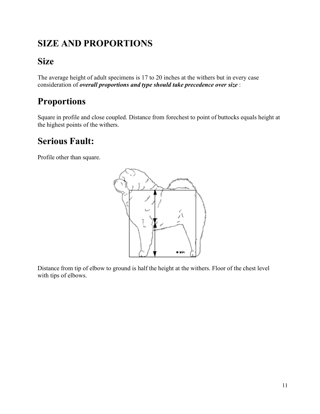# <span id="page-10-0"></span>**SIZE AND PROPORTIONS**

# <span id="page-10-1"></span>**Size**

The average height of adult specimens is 17 to 20 inches at the withers but in every case consideration of *overall proportions and type should take precedence over size* :

# <span id="page-10-2"></span>**Proportions**

Square in profile and close coupled. Distance from forechest to point of buttocks equals height at the highest points of the withers.

# <span id="page-10-3"></span>**Serious Fault:**

Profile other than square.



Distance from tip of elbow to ground is half the height at the withers. Floor of the chest level with tips of elbows.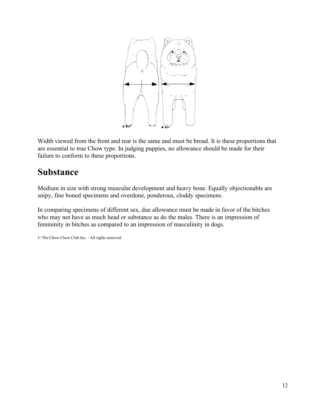

Width viewed from the front and rear is the same and must be broad. It is these proportions that are essential to true Chow type. In judging puppies, no allowance should be made for their failure to conform to these proportions.

### <span id="page-11-0"></span>**Substance**

Medium in size with strong muscular development and heavy bone. Equally objectionable are snipy, fine boned specimens and overdone, ponderous, cloddy specimens.

In comparing specimens of different sex, due allowance must be made in favor of the bitches who may not have as much head or substance as do the males. There is an impression of femininity in bitches as compared to an impression of masculinity in dogs.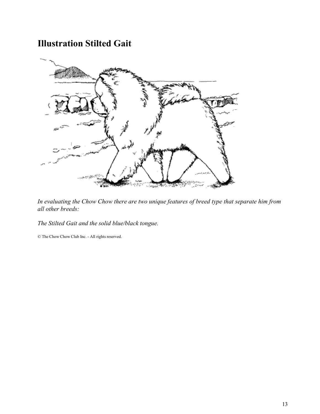### **Illustration Stilted Gait**



*In evaluating the Chow Chow there are two unique features of breed type that separate him from all other breeds:*

<span id="page-12-0"></span>*The Stilted Gait and the solid blue/black tongue.*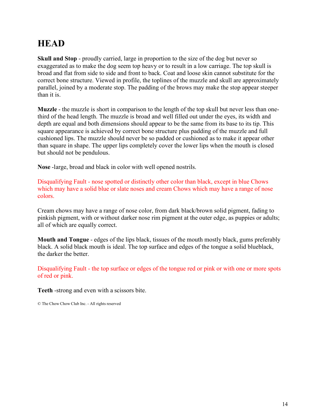### **HEAD**

<span id="page-13-0"></span>**Skull and Stop** - proudly carried, large in proportion to the size of the dog but never so exaggerated as to make the dog seem top heavy or to result in a low carriage. The top skull is broad and flat from side to side and front to back. Coat and loose skin cannot substitute for the correct bone structure. Viewed in profile, the toplines of the muzzle and skull are approximately parallel, joined by a moderate stop. The padding of the brows may make the stop appear steeper than it is.

<span id="page-13-1"></span>**Muzzle** - the muzzle is short in comparison to the length of the top skull but never less than onethird of the head length. The muzzle is broad and well filled out under the eyes, its width and depth are equal and both dimensions should appear to be the same from its base to its tip. This square appearance is achieved by correct bone structure plus padding of the muzzle and full cushioned lips. The muzzle should never be so padded or cushioned as to make it appear other than square in shape. The upper lips completely cover the lower lips when the mouth is closed but should not be pendulous.

<span id="page-13-2"></span>**Nose** -large, broad and black in color with well opened nostrils.

Disqualifying Fault - nose spotted or distinctly other color than black, except in blue Chows which may have a solid blue or slate noses and cream Chows which may have a range of nose colors.

Cream chows may have a range of nose color, from dark black/brown solid pigment, fading to pinkish pigment, with or without darker nose rim pigment at the outer edge, as puppies or adults; all of which are equally correct.

<span id="page-13-3"></span>**Mouth and Tongue** - edges of the lips black, tissues of the mouth mostly black, gums preferably black. A solid black mouth is ideal. The top surface and edges of the tongue a solid blueblack, the darker the better.

Disqualifying Fault - the top surface or edges of the tongue red or pink or with one or more spots of red or pink.

<span id="page-13-4"></span>**Teeth** -strong and even with a scissors bite.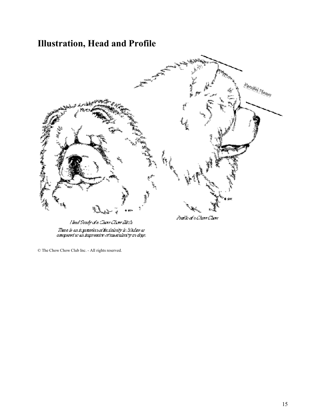# **Illustration, Head and Profile**



<span id="page-14-0"></span>Head Study of a Chow Chow Bitch Thu e le an impression or limining in bitches as<br>compared to an impression of mascultrity in dops.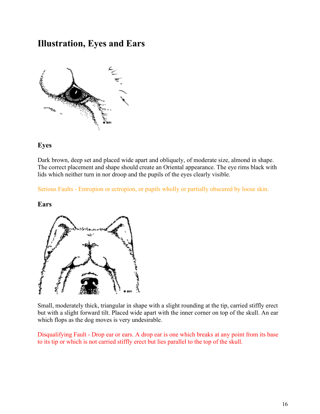### **Illustration, Eyes and Ears**



#### <span id="page-15-0"></span>**Eyes**

Dark brown, deep set and placed wide apart and obliquely, of moderate size, almond in shape. The correct placement and shape should create an Oriental appearance. The eye rims black with lids which neither turn in nor droop and the pupils of the eyes clearly visible.

Serious Faults - Entropion or ectropion, or pupils wholly or partially obscured by loose skin.

#### <span id="page-15-1"></span>**Ears**



Small, moderately thick, triangular in shape with a slight rounding at the tip, carried stiffly erect but with a slight forward tilt. Placed wide apart with the inner corner on top of the skull. An ear which flops as the dog moves is very undesirable.

Disqualifying Fault - Drop ear or ears. A drop ear is one which breaks at any point from its base to its tip or which is not carried stiffly erect but lies parallel to the top of the skull.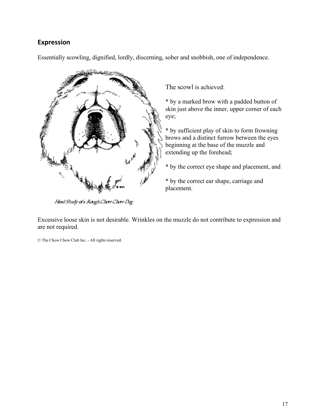#### <span id="page-16-0"></span>**Expression**

Essentially scowling, dignified, lordly, discerning, sober and snobbish, one of independence.



Head Study at a Rough Chow Chow Dog

The scowl is achieved:

\* by a marked brow with a padded button of skin just above the inner, upper corner of each eye;

\* by sufficient play of skin to form frowning brows and a distinct furrow between the eyes beginning at the base of the muzzle and extending up the forehead;

\* by the correct eye shape and placement, and

\* by the correct ear shape, carriage and placement.

Excessive loose skin is not desirable. Wrinkles on the muzzle do not contribute to expression and are not required.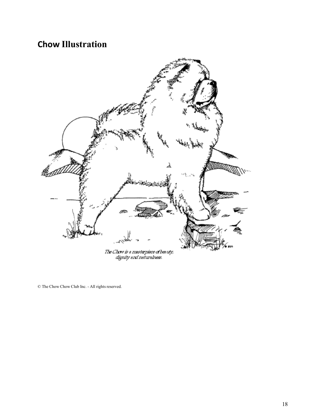# **Chow Illustration**

<span id="page-17-0"></span>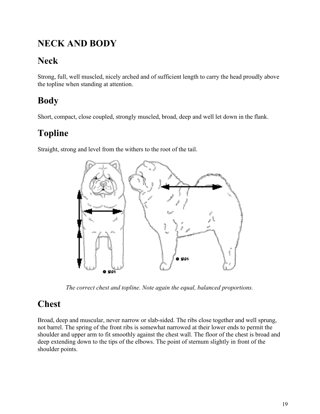# **NECK AND BODY**

# <span id="page-18-0"></span>**Neck**

Strong, full, well muscled, nicely arched and of sufficient length to carry the head proudly above the topline when standing at attention.

# <span id="page-18-1"></span>**Body**

Short, compact, close coupled, strongly muscled, broad, deep and well let down in the flank.

# <span id="page-18-2"></span>**Topline**

Straight, strong and level from the withers to the root of the tail.



*The correct chest and topline. Note again the equal, balanced proportions.*

# <span id="page-18-3"></span>**Chest**

Broad, deep and muscular, never narrow or slab-sided. The ribs close together and well sprung, not barrel. The spring of the front ribs is somewhat narrowed at their lower ends to permit the shoulder and upper arm to fit smoothly against the chest wall. The floor of the chest is broad and deep extending down to the tips of the elbows. The point of sternum slightly in front of the shoulder points.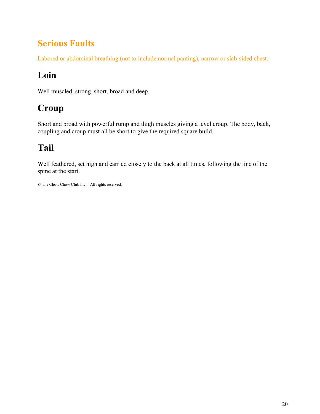# **Serious Faults**

<span id="page-19-0"></span>Labored or abdominal breathing (not to include normal panting), narrow or slab-sided chest.

# <span id="page-19-1"></span>**Loin**

Well muscled, strong, short, broad and deep.

# <span id="page-19-2"></span>**Croup**

Short and broad with powerful rump and thigh muscles giving a level croup. The body, back, coupling and croup must all be short to give the required square build.

# <span id="page-19-3"></span>**Tail**

Well feathered, set high and carried closely to the back at all times, following the line of the spine at the start.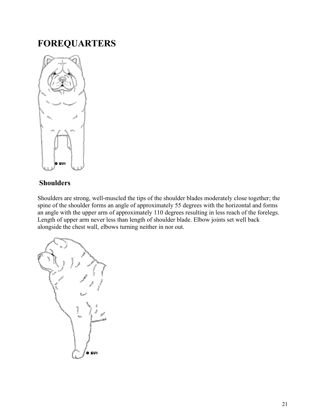### **FOREQUARTERS**



#### <span id="page-20-0"></span>**Shoulders**

Shoulders are strong, well-muscled the tips of the shoulder blades moderately close together; the spine of the shoulder forms an angle of approximately 55 degrees with the horizontal and forms an angle with the upper arm of approximately 110 degrees resulting in less reach of the forelegs. Length of upper arm never less than length of shoulder blade. Elbow joints set well back alongside the chest wall, elbows turning neither in nor out.

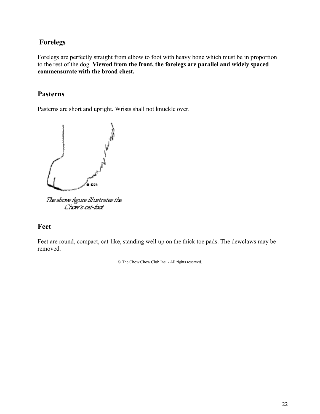#### <span id="page-21-0"></span>**Forelegs**

Forelegs are perfectly straight from elbow to foot with heavy bone which must be in proportion to the rest of the dog. **Viewed from the front, the forelegs are parallel and widely spaced commensurate with the broad chest.**

#### <span id="page-21-1"></span>**Pasterns**

Pasterns are short and upright. Wrists shall not knuckle over.



Chow's cat-tool

#### <span id="page-21-2"></span>**Feet**

Feet are round, compact, cat-like, standing well up on the thick toe pads. The dewclaws may be removed.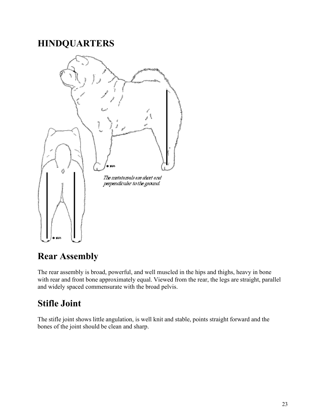### **HINDQUARTERS**



### <span id="page-22-0"></span>**Rear Assembly**

The rear assembly is broad, powerful, and well muscled in the hips and thighs, heavy in bone with rear and front bone approximately equal. Viewed from the rear, the legs are straight, parallel and widely spaced commensurate with the broad pelvis.

### <span id="page-22-1"></span>**Stifle Joint**

The stifle joint shows little angulation, is well knit and stable, points straight forward and the bones of the joint should be clean and sharp.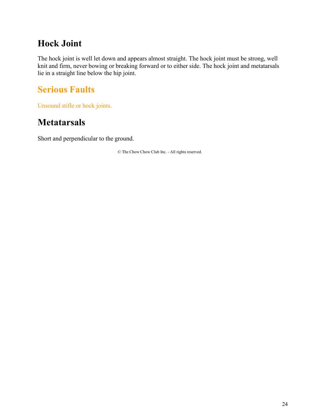### **Hock Joint**

<span id="page-23-0"></span>The hock joint is well let down and appears almost straight. The hock joint must be strong, well knit and firm, never bowing or breaking forward or to either side. The hock joint and metatarsals lie in a straight line below the hip joint.

# <span id="page-23-1"></span>**Serious Faults**

Unsound stifle or hock joints.

### <span id="page-23-2"></span>**Metatarsals**

Short and perpendicular to the ground.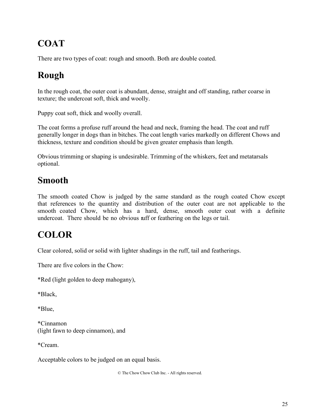# **COAT**

<span id="page-24-0"></span>There are two types of coat: rough and smooth. Both are double coated.

# <span id="page-24-1"></span>**Rough**

In the rough coat, the outer coat is abundant, dense, straight and off standing, rather coarse in texture; the undercoat soft, thick and woolly.

Puppy coat soft, thick and woolly overall.

The coat forms a profuse ruff around the head and neck, framing the head. The coat and ruff generally longer in dogs than in bitches. The coat length varies markedly on different Chows and thickness, texture and condition should be given greater emphasis than length.

Obvious trimming or shaping is undesirable. Trimming of the whiskers, feet and metatarsals optional.

### <span id="page-24-2"></span>**Smooth**

The smooth coated Chow is judged by the same standard as the rough coated Chow except that references to the quantity and distribution of the outer coat are not applicable to the smooth coated Chow, which has a hard, dense, smooth outer coat with a definite undercoat. There should be no obvious ruff or feathering on the legs or tail.

# <span id="page-24-3"></span>**COLOR**

Clear colored, solid or solid with lighter shadings in the ruff, tail and featherings.

There are five colors in the Chow:

\*Red (light golden to deep mahogany),

\*Black,

\*Blue,

\*Cinnamon (light fawn to deep cinnamon), and

\*Cream.

Acceptable colors to be judged on an equal basis.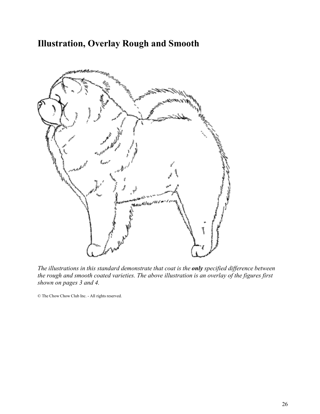### **Illustration, Overlay Rough and Smooth**



<span id="page-25-0"></span>*The illustrations in this standard demonstrate that coat is the only specified difference between the rough and smooth coated varieties. The above illustration is an overlay of the figures first shown on pages 3 and 4.*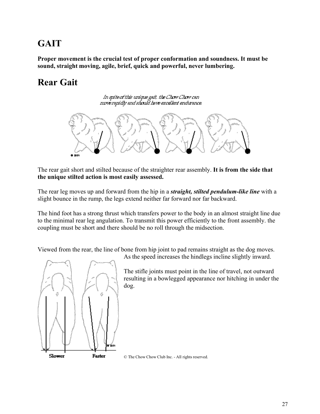# **GAIT**

<span id="page-26-0"></span>**Proper movement is the crucial test of proper conformation and soundness. It must be sound, straight moving, agile, brief, quick and powerful, never lumbering.**

# <span id="page-26-1"></span>**Rear Gait**

In spite of this unique gait, the Chow Chow can move rapidly and should have excellent endurance.



The rear gait short and stilted because of the straighter rear assembly. **It is from the side that the unique stilted action is most easily assessed.**

The rear leg moves up and forward from the hip in a *straight, stilted pendulum-like line* with a slight bounce in the rump, the legs extend neither far forward nor far backward.

The hind foot has a strong thrust which transfers power to the body in an almost straight line due to the minimal rear leg angulation. To transmit this power efficiently to the front assembly. the coupling must be short and there should be no roll through the midsection.

Viewed from the rear, the line of bone from hip joint to pad remains straight as the dog moves.



As the speed increases the hindlegs incline slightly inward.

The stifle joints must point in the line of travel, not outward resulting in a bowlegged appearance nor hitching in under the dog.

© The Chow Chow Club Inc. - All rights reserved.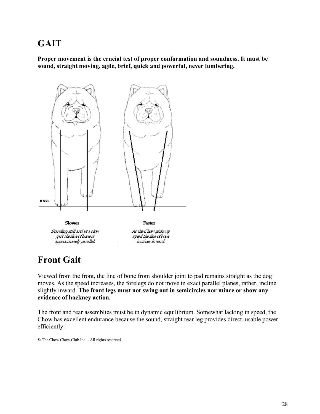### **GAIT**

<span id="page-27-0"></span>**Proper movement is the crucial test of proper conformation and soundness. It must be sound, straight moving, agile, brief, quick and powerful, never lumbering.**



Slower Standing still and at a slow gait the line of bone is spproximately parallel.

Faster

As the Chow picks up speed the line of bone ínclínes ínvend.

### <span id="page-27-1"></span>**Front Gait**

Viewed from the front, the line of bone from shoulder joint to pad remains straight as the dog moves. As the speed increases, the forelegs do not move in exact parallel planes, rather, incline slightly inward. **The front legs must not swing out in semicircles nor mince or show any evidence of hackney action.**

The front and rear assemblies must be in dynamic equilibrium. Somewhat lacking in speed, the Chow has excellent endurance because the sound, straight rear leg provides direct, usable power efficiently.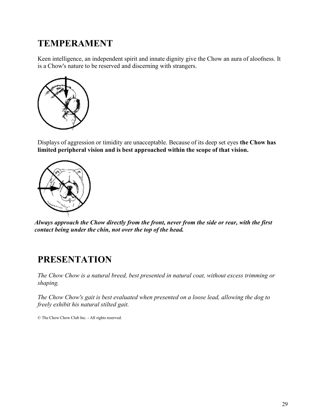### **TEMPERAMENT**

<span id="page-28-0"></span>Keen intelligence, an independent spirit and innate dignity give the Chow an aura of aloofness. It is a Chow's nature to be reserved and discerning with strangers.



Displays of aggression or timidity are unacceptable. Because of its deep set eyes **the Chow has limited peripheral vision and is best approached within the scope of that vision.**



*Always approach the Chow directly from the front, never from the side or rear, with the first contact being under the chin, not over the top of the head.*

### <span id="page-28-1"></span>**PRESENTATION**

*The Chow Chow is a natural breed, best presented in natural coat, without excess trimming or shaping.*

*The Chow Chow's gait is best evaluated when presented on a loose lead, allowing the dog to freely exhibit his natural stilted gait.*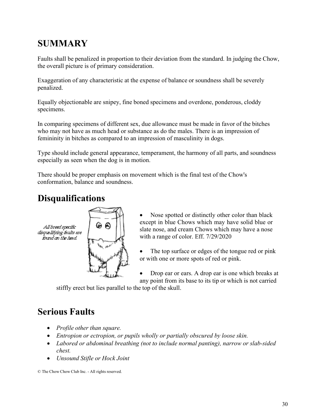# **SUMMARY**

<span id="page-29-0"></span>Faults shall be penalized in proportion to their deviation from the standard. In judging the Chow, the overall picture is of primary consideration.

Exaggeration of any characteristic at the expense of balance or soundness shall be severely penalized.

Equally objectionable are snipey, fine boned specimens and overdone, ponderous, cloddy specimens.

In comparing specimens of different sex, due allowance must be made in favor of the bitches who may not have as much head or substance as do the males. There is an impression of femininity in bitches as compared to an impression of masculinity in dogs.

Type should include general appearance, temperament, the harmony of all parts, and soundness especially as seen when the dog is in motion.

There should be proper emphasis on movement which is the final test of the Chow's conformation, balance and soundness.

# <span id="page-29-1"></span>**Disqualifications**



- Nose spotted or distinctly other color than black except in blue Chows which may have solid blue or slate nose, and cream Chows which may have a nose with a range of color. Eff. 7/29/2020
- The top surface or edges of the tongue red or pink or with one or more spots of red or pink.
- Drop ear or ears. A drop ear is one which breaks at any point from its base to its tip or which is not carried

stiffly erect but lies parallel to the top of the skull.

# <span id="page-29-2"></span>**Serious Faults**

- *Profile other than square.*
- *Entropion or ectropion, or pupils wholly or partially obscured by loose skin.*
- *Labored or abdominal breathing (not to include normal panting), narrow or slab-sided chest.*
- *Unsound Stifle or Hock Joint*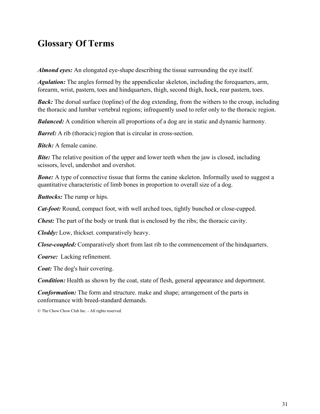<span id="page-30-0"></span>*Almond eyes:* An elongated eye-shape describing the tissue surrounding the eye itself.

*Agulation:* The angles formed by the appendicular skeleton, including the forequarters, arm, forearm, wrist, pastern, toes and hindquarters, thigh, second thigh, hock, rear pastern, toes.

*Back:* The dorsal surface (topline) of the dog extending, from the withers to the croup, including the thoracic and lumbar vertebral regions; infrequently used to refer only to the thoracic region.

*Balanced:* A condition wherein all proportions of a dog are in static and dynamic harmony.

*Barrel:* A rib (thoracic) region that is circular in cross-section.

*Bitch:* A female canine.

*Bite:* The relative position of the upper and lower teeth when the jaw is closed, including scissors, level, undershot and overshot.

**Bone:** A type of connective tissue that forms the canine skeleton. Informally used to suggest a quantitative characteristic of limb bones in proportion to overall size of a dog.

*Buttocks:* The rump or hips.

*Cat-foot:* Round, compact foot, with well arched toes, tightly bunched or close-cupped.

*Chest:* The part of the body or trunk that is enclosed by the ribs; the thoracic cavity.

*Cloddy:* Low, thickset. comparatively heavy.

*Close-coupled:* Comparatively short from last rib to the commencement of the hindquarters.

*Coarse:* Lacking refinement.

*Coat:* The dog's hair covering.

*Condition:* Health as shown by the coat, state of flesh, general appearance and deportment.

*Conformation:* The form and structure. make and shape; arrangement of the parts in conformance with breed-standard demands.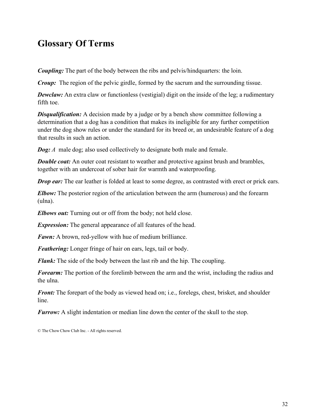<span id="page-31-0"></span>*Coupling:* The part of the body between the ribs and pelvis/hindquarters: the loin.

*Croup:* The region of the pelvic girdle, formed by the sacrum and the surrounding tissue.

**Dewclaw:** An extra claw or functionless (vestigial) digit on the inside of the leg; a rudimentary fifth toe.

*Disqualification:* A decision made by a judge or by a bench show committee following a determination that a dog has a condition that makes its ineligible for any further competition under the dog show rules or under the standard for its breed or, an undesirable feature of a dog that results in such an action.

*Dog: A* male dog; also used collectively to designate both male and female.

*Double coat:* An outer coat resistant to weather and protective against brush and brambles, together with an undercoat of sober hair for warmth and waterproofing.

*Drop* ear: The ear leather is folded at least to some degree, as contrasted with erect or prick ears.

*Elbow:* The posterior region of the articulation between the arm (humerous) and the forearm (ulna).

*Elbows out:* Turning out or off from the body; not held close.

*Expression:* The general appearance of all features of the head.

*Fawn:* A brown, red-yellow with hue of medium brilliance.

*Feathering:* Longer fringe of hair on ears, legs, tail or body.

*Flank:* The side of the body between the last rib and the hip. The coupling.

*Forearm:* The portion of the forelimb between the arm and the wrist, including the radius and the ulna.

*Front:* The forepart of the body as viewed head on; i.e., forelegs, chest, brisket, and shoulder line.

*Furrow:* A slight indentation or median line down the center of the skull to the stop.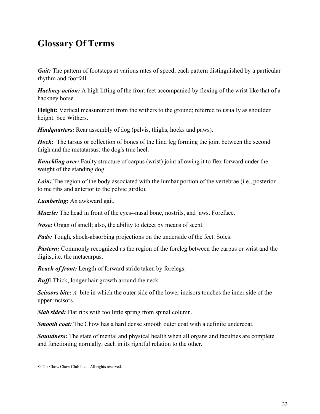<span id="page-32-0"></span>*Gait*: The pattern of footsteps at various rates of speed, each pattern distinguished by a particular rhythm and footfall.

*Hackney action:* A high lifting of the front feet accompanied by flexing of the wrist like that of a hackney horse.

**Height:** Vertical measurement from the withers to the ground; referred to usually as shoulder height. See Withers.

*Hindquarters:* Rear assembly of dog (pelvis, thighs, hocks and paws).

*Hock:* The tarsus or collection of bones of the hind leg forming the joint between the second thigh and the metatarsus; the dog's true heel.

*Knuckling over:* Faulty structure of carpus (wrist) joint allowing it to flex forward under the weight of the standing dog.

**Loin:** The region of the body associated with the lumbar portion of the vertebrae (i.e., posterior to me ribs and anterior to the pelvic girdle).

*Lumbering:* An awkward gait.

*Muzzle:* The head in front of the eyes--nasal bone, nostrils, and jaws. Foreface.

*Nose:* Organ of smell; also, the ability to detect by means of scent.

*Pads:* Tough, shock-absorbing projections on the underside of the feet. Soles.

*Pastern:* Commonly recognized as the region of the foreleg between the carpus or wrist and the digits,.i.e. the metacarpus.

*Reach of front:* Length of forward stride taken by forelegs.

*Ruff:* Thick, longer hair growth around the neck.

*Scissors bite: A* bite in which the outer side of the lower incisors touches the inner side of the upper incisors.

*Slab sided:* Flat ribs with too little spring from spinal column.

*Smooth coat:* The Chow has a hard dense smooth outer coat with a definite undercoat.

**Soundness:** The state of mental and physical health when all organs and faculties are complete and functioning normally, each in its rightful relation to the other.

<sup>©</sup> The Chow Chow Club Inc. - All rights reserved.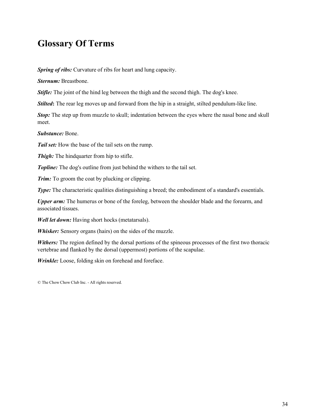<span id="page-33-0"></span>*Spring of ribs:* Curvature of ribs for heart and lung capacity.

*Sternum:* Breastbone.

*Stifle:* The joint of the hind leg between the thigh and the second thigh. The dog's knee.

*Stilted*: The rear leg moves up and forward from the hip in a straight, stilted pendulum-like line.

*Stop*: The step up from muzzle to skull; indentation between the eyes where the nasal bone and skull meet.

*Substance:* Bone.

*Tail set:* How the base of the tail sets on the rump.

*Thigh:* The hindquarter from hip to stifle.

**Topline:** The dog's outline from just behind the withers to the tail set.

*Trim:* To groom the coat by plucking or clipping.

*Type:* The characteristic qualities distinguishing a breed; the embodiment of a standard's essentials.

*Upper arm:* The humerus or bone of the foreleg, between the shoulder blade and the forearm, and associated tissues.

*Well let down:* Having short hocks (metatarsals).

*Whisker:* Sensory organs (hairs) on the sides of the muzzle.

*Withers:* The region defined by the dorsal portions of the spineous processes of the first two thoracic vertebrae and flanked by the dorsal (uppermost) portions of the scapulae.

*Wrinkle:* Loose, folding skin on forehead and foreface.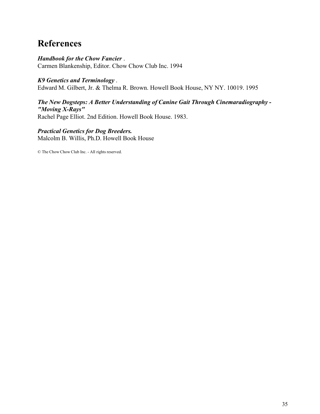### **References**

#### <span id="page-34-0"></span>*Handbook for the Chow Fancier* . Carmen Blankenship, Editor. Chow Chow Club Inc. 1994

#### *K9 Genetics and Terminology* .

Edward M. Gilbert, Jr. & Thelma R. Brown. Howell Book House, NY NY. 10019. 1995

#### *The New Dogsteps: A Better Understanding of Canine Gait Through Cinemaradiography - "Moving X-Rays"*

Rachel Page Elliot. 2nd Edition. Howell Book House. 1983.

#### *Practical Genetics for Dog Breeders.*

Malcolm B. Willis, Ph.D. Howell Book House